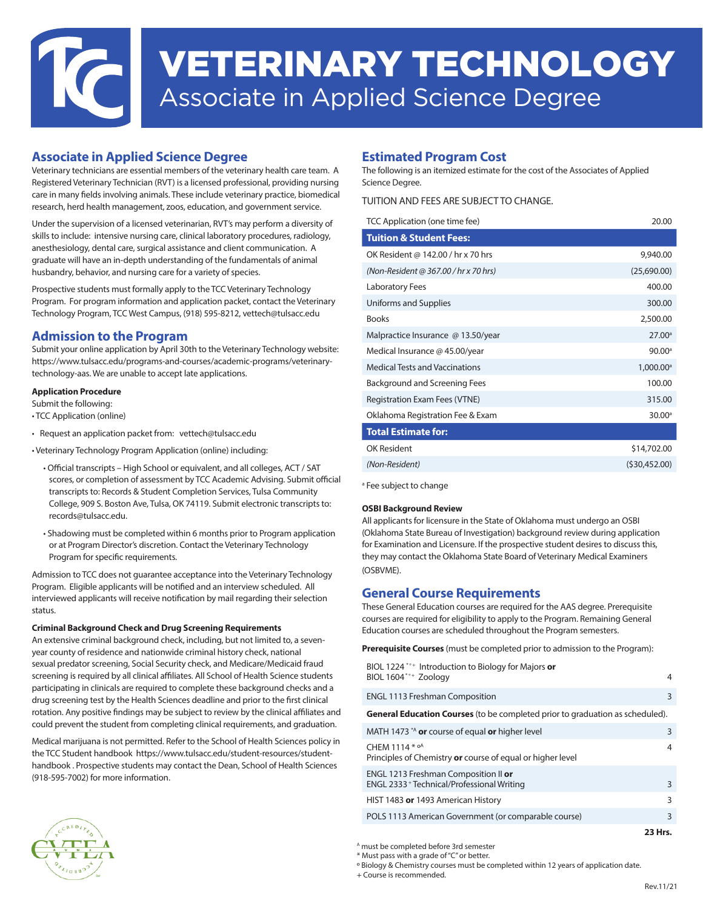# VETERINARY TECHNOLOGY Associate in Applied Science Degree

#### **Associate in Applied Science Degree**

Veterinary technicians are essential members of the veterinary health care team. A Registered Veterinary Technician (RVT) is a licensed professional, providing nursing care in many fields involving animals. These include veterinary practice, biomedical research, herd health management, zoos, education, and government service.

Under the supervision of a licensed veterinarian, RVT's may perform a diversity of skills to include: intensive nursing care, clinical laboratory procedures, radiology, anesthesiology, dental care, surgical assistance and client communication. A graduate will have an in-depth understanding of the fundamentals of animal husbandry, behavior, and nursing care for a variety of species.

Prospective students must formally apply to the TCC Veterinary Technology Program. For program information and application packet, contact the Veterinary Technology Program, TCC West Campus, (918) 595-8212, vettech@tulsacc.edu

#### **Admission to the Program**

Submit your online application by April 30th to the Veterinary Technology website: https://www.tulsacc.edu/programs-and-courses/academic-programs/veterinarytechnology-aas. We are unable to accept late applications.

#### **Application Procedure**

Submit the following:

- TCC Application (online)
- Request an application packet from: vettech@tulsacc.edu
- Veterinary Technology Program Application (online) including:
	- Official transcripts High School or equivalent, and all colleges, ACT / SAT scores, or completion of assessment by TCC Academic Advising. Submit official transcripts to: Records & Student Completion Services, Tulsa Community College, 909 S. Boston Ave, Tulsa, OK 74119. Submit electronic transcripts to: records@tulsacc.edu.
	- Shadowing must be completed within 6 months prior to Program application or at Program Director's discretion. Contact the Veterinary Technology Program for specific requirements.

Admission to TCC does not guarantee acceptance into the Veterinary Technology Program. Eligible applicants will be notified and an interview scheduled. All interviewed applicants will receive notification by mail regarding their selection status.

#### **Criminal Background Check and Drug Screening Requirements**

An extensive criminal background check, including, but not limited to, a sevenyear county of residence and nationwide criminal history check, national sexual predator screening, Social Security check, and Medicare/Medicaid fraud screening is required by all clinical affiliates. All School of Health Science students participating in clinicals are required to complete these background checks and a drug screening test by the Health Sciences deadline and prior to the first clinical rotation. Any positive findings may be subject to review by the clinical affiliates and could prevent the student from completing clinical requirements, and graduation.

Medical marijuana is not permitted. Refer to the School of Health Sciences policy in the TCC Student handbook https://www.tulsacc.edu/student-resources/studenthandbook . Prospective students may contact the Dean, School of Health Sciences (918-595-7002) for more information.

#### **Estimated Program Cost**

The following is an itemized estimate for the cost of the Associates of Applied Science Degree.

#### TUITION AND FEES ARE SUBJECT TO CHANGE.

| TCC Application (one time fee)        | 20.00                 |
|---------------------------------------|-----------------------|
| <b>Tuition &amp; Student Fees:</b>    |                       |
| OK Resident @ 142.00 / hr x 70 hrs    | 9,940.00              |
| (Non-Resident @ 367.00 / hr x 70 hrs) | (25,690.00)           |
| <b>Laboratory Fees</b>                | 400.00                |
| Uniforms and Supplies                 | 300.00                |
| <b>Books</b>                          | 2,500.00              |
| Malpractice Insurance @ 13.50/year    | 27.00 <sup>a</sup>    |
| Medical Insurance @ 45.00/year        | 90.00 <sup>a</sup>    |
| <b>Medical Tests and Vaccinations</b> | 1,000.00 <sup>a</sup> |
| <b>Background and Screening Fees</b>  | 100.00                |
| <b>Registration Exam Fees (VTNE)</b>  | 315.00                |
| Oklahoma Registration Fee & Exam      | 30.00 <sup>a</sup>    |
| <b>Total Estimate for:</b>            |                       |
| OK Resident                           | \$14,702.00           |
| (Non-Resident)                        | (530, 452.00)         |

<sup>a</sup> Fee subject to change

#### **OSBI Background Review**

All applicants for licensure in the State of Oklahoma must undergo an OSBI (Oklahoma State Bureau of Investigation) background review during application for Examination and Licensure. If the prospective student desires to discuss this, they may contact the Oklahoma State Board of Veterinary Medical Examiners (OSBVME).

#### **General Course Requirements**

These General Education courses are required for the AAS degree. Prerequisite courses are required for eligibility to apply to the Program. Remaining General Education courses are scheduled throughout the Program semesters.

**Prerequisite Courses** (must be completed prior to admission to the Program):

| BIOL 1224 <sup>*</sup> <sup>*</sup> Introduction to Biology for Majors or<br>BIOL 1604*°+ Zoology | 4 |
|---------------------------------------------------------------------------------------------------|---|
| <b>ENGL 1113 Freshman Composition</b>                                                             | 3 |
| <b>General Education Courses</b> (to be completed prior to graduation as scheduled).              |   |
| MATH 1473 <sup>*A</sup> or course of equal or higher level                                        | 3 |
| CHEM 1114 * oA<br>Principles of Chemistry or course of equal or higher level                      | 4 |
| ENGL 1213 Freshman Composition II or<br>ENGL 2333 + Technical/Professional Writing                | 3 |
| HIST 1483 or 1493 American History                                                                | 3 |
|                                                                                                   |   |

POLS 1113 American Government (or comparable course) 3

A must be completed before 3rd semester

\* Must pass with a grade of "C" or better.

+ Course is recommended.

**23 Hrs.**

º Biology & Chemistry courses must be completed within 12 years of application date.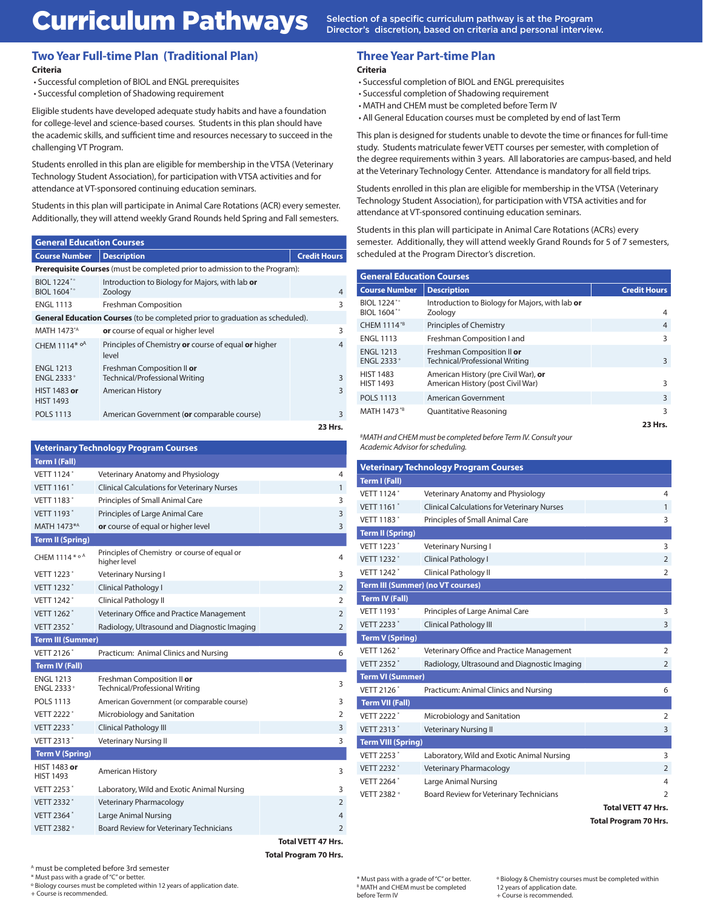# Curriculum Pathways Selection of a specific curriculum pathway is at the Program

Director's discretion, based on criteria and personal interview.

#### **Two Year Full-time Plan (Traditional Plan) Criteria**

• Successful completion of BIOL and ENGL prerequisites

• Successful completion of Shadowing requirement

Eligible students have developed adequate study habits and have a foundation for college-level and science-based courses. Students in this plan should have the academic skills, and sufficient time and resources necessary to succeed in the challenging VT Program.

Students enrolled in this plan are eligible for membership in the VTSA (Veterinary Technology Student Association), for participation with VTSA activities and for attendance at VT-sponsored continuing education seminars.

Students in this plan will participate in Animal Care Rotations (ACR) every semester. Additionally, they will attend weekly Grand Rounds held Spring and Fall semesters.

| <b>General Education Courses</b>                                                     |                                                                                    |                     |
|--------------------------------------------------------------------------------------|------------------------------------------------------------------------------------|---------------------|
| <b>Course Number</b>                                                                 | <b>Description</b>                                                                 | <b>Credit Hours</b> |
|                                                                                      | <b>Prerequisite Courses</b> (must be completed prior to admission to the Program): |                     |
| BIOL 1224 <sup>*</sup> °<br>BIOL 1604*°                                              | Introduction to Biology for Majors, with lab or<br>Zoology                         | $\overline{4}$      |
| <b>ENGL 1113</b>                                                                     | <b>Freshman Composition</b>                                                        | 3                   |
| <b>General Education Courses</b> (to be completed prior to graduation as scheduled). |                                                                                    |                     |
| MATH 1473*A                                                                          | <b>or</b> course of equal or higher level                                          | 3                   |
| CHEM 1114* oA                                                                        | Principles of Chemistry or course of equal or higher<br>level                      | 4                   |
| <b>ENGL 1213</b><br>ENGL 2333+                                                       | Freshman Composition II or<br>Technical/Professional Writing                       | 3                   |
| HIST 1483 or<br><b>HIST 1493</b>                                                     | <b>American History</b>                                                            | 3                   |
| <b>POLS 1113</b>                                                                     | American Government (or comparable course)                                         | 3                   |
|                                                                                      |                                                                                    | 23 Hrs.             |

| <b>Veterinary Technology Program Courses</b> |                                                                |                |  |  |
|----------------------------------------------|----------------------------------------------------------------|----------------|--|--|
| <b>Term I (Fall)</b>                         |                                                                |                |  |  |
| VFTT 1124*                                   | Veterinary Anatomy and Physiology<br>4                         |                |  |  |
| VETT 1161 <sup>*</sup>                       | <b>Clinical Calculations for Veterinary Nurses</b><br>1        |                |  |  |
| VETT 1183*                                   | Principles of Small Animal Care<br>3                           |                |  |  |
| VETT 1193*                                   | 3<br>Principles of Large Animal Care                           |                |  |  |
| MATH 1473*A                                  | 3<br>or course of equal or higher level                        |                |  |  |
| <b>Term II (Spring)</b>                      |                                                                |                |  |  |
| CHEM 1114* ° A                               | Principles of Chemistry or course of equal or<br>higher level  | 4              |  |  |
| <b>VETT 1223<sup>*</sup></b>                 | Veterinary Nursing I                                           | 3              |  |  |
| VETT 1232*                                   | $\overline{2}$<br>Clinical Pathology I                         |                |  |  |
| VETT 1242 <sup>*</sup>                       | Clinical Pathology II<br>$\overline{2}$                        |                |  |  |
| VETT 1262 <sup>*</sup>                       | Veterinary Office and Practice Management<br>$\overline{2}$    |                |  |  |
| VETT 2352*                                   | Radiology, Ultrasound and Diagnostic Imaging<br>$\overline{2}$ |                |  |  |
| <b>Term III (Summer)</b>                     |                                                                |                |  |  |
| VETT 2126*                                   | Practicum: Animal Clinics and Nursing                          | 6              |  |  |
| <b>Term IV (Fall)</b>                        |                                                                |                |  |  |
| <b>ENGL 1213</b><br>ENGL 2333+               | Freshman Composition II or<br>Technical/Professional Writing   | 3              |  |  |
| <b>POLS 1113</b>                             | American Government (or comparable course)                     | 3              |  |  |
| VETT 2222*                                   | Microbiology and Sanitation                                    | $\overline{2}$ |  |  |
| VETT 2233*                                   | 3<br>Clinical Pathology III                                    |                |  |  |
| VETT 2313*                                   | 3<br>Veterinary Nursing II                                     |                |  |  |
| <b>Term V (Spring)</b>                       |                                                                |                |  |  |
| HIST 1483 or<br><b>HIST 1493</b>             | American History                                               | 3              |  |  |
| VETT 2253*                                   | Laboratory, Wild and Exotic Animal Nursing                     | 3              |  |  |
| VETT 2332*                                   | <b>Veterinary Pharmacology</b>                                 | $\overline{2}$ |  |  |
| VETT 2364*                                   | Large Animal Nursing                                           | $\overline{4}$ |  |  |
| VETT 2382 +                                  | Board Review for Veterinary Technicians<br>$\overline{2}$      |                |  |  |

**Total VETT 47 Hrs. Total Program 70 Hrs.**

**Three Year Part-time Plan Criteria**

- Successful completion of BIOL and ENGL prerequisites
- Successful completion of Shadowing requirement
- MATH and CHEM must be completed before Term IV
- All General Education courses must be completed by end of last Term

This plan is designed for students unable to devote the time or finances for full-time study. Students matriculate fewer VETT courses per semester, with completion of the degree requirements within 3 years. All laboratories are campus-based, and held at the Veterinary Technology Center. Attendance is mandatory for all field trips.

Students enrolled in this plan are eligible for membership in the VTSA (Veterinary Technology Student Association), for participation with VTSA activities and for attendance at VT-sponsored continuing education seminars.

Students in this plan will participate in Animal Care Rotations (ACRs) every semester. Additionally, they will attend weekly Grand Rounds for 5 of 7 semesters, scheduled at the Program Director's discretion.

| <b>General Education Courses</b>     |                                                                           |                     |
|--------------------------------------|---------------------------------------------------------------------------|---------------------|
| <b>Course Number</b>                 | <b>Description</b>                                                        | <b>Credit Hours</b> |
| BIOL 1224*°<br>BIOL 1604*°           | Introduction to Biology for Majors, with lab or<br>Zoology                | 4                   |
| CHEM 1114*B                          | Principles of Chemistry                                                   | 4                   |
| <b>ENGL 1113</b>                     | Freshman Composition I and                                                | ς                   |
| <b>ENGL 1213</b><br>ENGL 2333+       | Freshman Composition II or<br>Technical/Professional Writing              | 3                   |
| <b>HIST 1483</b><br><b>HIST 1493</b> | American History (pre Civil War), or<br>American History (post Civil War) | ς                   |
| <b>POLS 1113</b>                     | <b>American Government</b>                                                | 3                   |
| MATH 1473*B                          | Quantitative Reasoning                                                    | 3                   |
|                                      |                                                                           | 23 Hrs.             |

*B MATH and CHEM must be completed before Term IV. Consult your*  **Veterinary Technology Program Courses** *Academic Advisor for scheduling.*

| <b>Veterinary Technology Program Courses</b> |                                                                |                           |  |
|----------------------------------------------|----------------------------------------------------------------|---------------------------|--|
| <b>Term I (Fall)</b>                         |                                                                |                           |  |
| <b>VETT 1124*</b>                            | Veterinary Anatomy and Physiology                              | 4                         |  |
| VETT 1161 <sup>*</sup>                       | <b>Clinical Calculations for Veterinary Nurses</b><br>1        |                           |  |
| VETT 1183*                                   | Principles of Small Animal Care<br>3                           |                           |  |
| <b>Term II (Spring)</b>                      |                                                                |                           |  |
| VFTT 1223*                                   | Veterinary Nursing I                                           | 3                         |  |
| <b>VETT 1232*</b>                            | Clinical Pathology I<br>$\overline{2}$                         |                           |  |
| VETT 1242 <sup>*</sup>                       | Clinical Pathology II<br>$\overline{2}$                        |                           |  |
|                                              | <b>Term III (Summer) (no VT courses)</b>                       |                           |  |
| <b>Term IV (Fall)</b>                        |                                                                |                           |  |
| VETT 1193*                                   | Principles of Large Animal Care                                | 3                         |  |
| VETT 2233*                                   | Clinical Pathology III                                         | 3                         |  |
| <b>Term V (Spring)</b>                       |                                                                |                           |  |
| VFTT 1262 <sup>*</sup>                       | Veterinary Office and Practice Management<br>$\overline{2}$    |                           |  |
| <b>VFTT 2352*</b>                            | Radiology, Ultrasound and Diagnostic Imaging<br>$\overline{2}$ |                           |  |
| <b>Term VI (Summer)</b>                      |                                                                |                           |  |
| VETT 2126*                                   | Practicum: Animal Clinics and Nursing                          | 6                         |  |
| <b>Term VII (Fall)</b>                       |                                                                |                           |  |
| VFTT 2222*                                   | Microbiology and Sanitation                                    | $\overline{2}$            |  |
| VETT 2313*                                   | <b>Veterinary Nursing II</b>                                   | 3                         |  |
| <b>Term VIII (Spring)</b>                    |                                                                |                           |  |
| VETT 2253*                                   | Laboratory, Wild and Exotic Animal Nursing                     | 3                         |  |
| VETT 2232*                                   | Veterinary Pharmacology                                        | $\overline{2}$            |  |
| VETT 2264*                                   | Large Animal Nursing                                           | 4                         |  |
| VETT 2382 +                                  | Board Review for Veterinary Technicians                        | $\overline{2}$            |  |
|                                              |                                                                | <b>Total VETT 47 Hrs.</b> |  |

**Total Program 70 Hrs.**

A must be completed before 3rd semester

\* Must pass with a grade of "C" or better.

º Biology courses must be completed within 12 years of application date.

+ Course is recommended.

º Biology & Chemistry courses must be completed within 12 years of application date. + Course is recommended.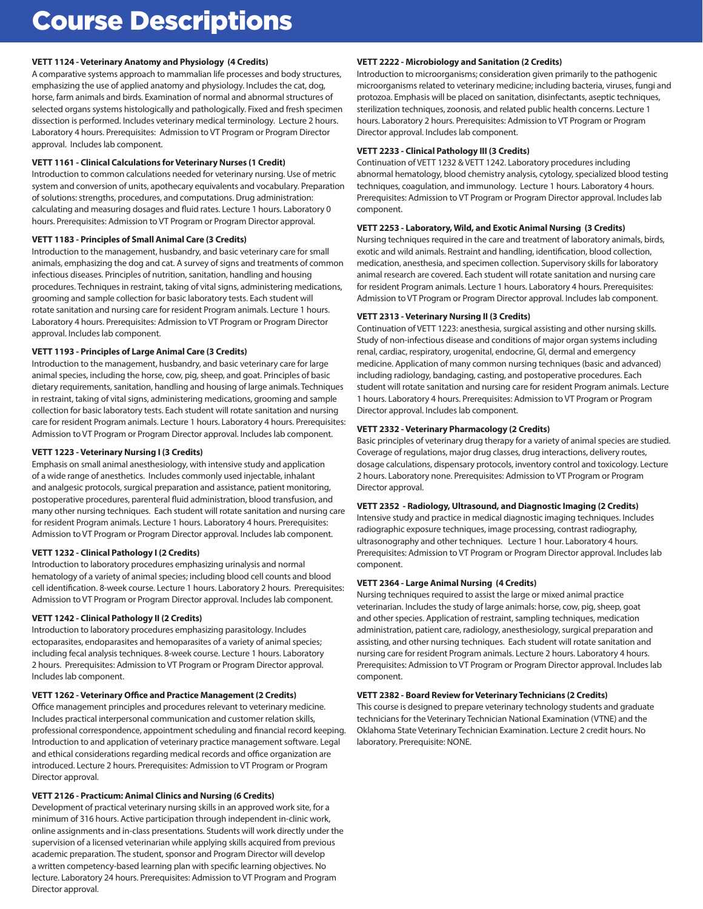## Course Descriptions

#### **VETT 1124 - Veterinary Anatomy and Physiology (4 Credits)**

A comparative systems approach to mammalian life processes and body structures, emphasizing the use of applied anatomy and physiology. Includes the cat, dog, horse, farm animals and birds. Examination of normal and abnormal structures of selected organs systems histologically and pathologically. Fixed and fresh specimen dissection is performed. Includes veterinary medical terminology. Lecture 2 hours. Laboratory 4 hours. Prerequisites: Admission to VT Program or Program Director approval. Includes lab component.

#### **VETT 1161 - Clinical Calculations for Veterinary Nurses (1 Credit)**

Introduction to common calculations needed for veterinary nursing. Use of metric system and conversion of units, apothecary equivalents and vocabulary. Preparation of solutions: strengths, procedures, and computations. Drug administration: calculating and measuring dosages and fluid rates. Lecture 1 hours. Laboratory 0 hours. Prerequisites: Admission to VT Program or Program Director approval.

#### **VETT 1183 - Principles of Small Animal Care (3 Credits)**

Introduction to the management, husbandry, and basic veterinary care for small animals, emphasizing the dog and cat. A survey of signs and treatments of common infectious diseases. Principles of nutrition, sanitation, handling and housing procedures. Techniques in restraint, taking of vital signs, administering medications, grooming and sample collection for basic laboratory tests. Each student will rotate sanitation and nursing care for resident Program animals. Lecture 1 hours. Laboratory 4 hours. Prerequisites: Admission to VT Program or Program Director approval. Includes lab component.

#### **VETT 1193 - Principles of Large Animal Care (3 Credits)**

Introduction to the management, husbandry, and basic veterinary care for large animal species, including the horse, cow, pig, sheep, and goat. Principles of basic dietary requirements, sanitation, handling and housing of large animals. Techniques in restraint, taking of vital signs, administering medications, grooming and sample collection for basic laboratory tests. Each student will rotate sanitation and nursing care for resident Program animals. Lecture 1 hours. Laboratory 4 hours. Prerequisites: Admission to VT Program or Program Director approval. Includes lab component.

#### **VETT 1223 - Veterinary Nursing I (3 Credits)**

Emphasis on small animal anesthesiology, with intensive study and application of a wide range of anesthetics. Includes commonly used injectable, inhalant and analgesic protocols, surgical preparation and assistance, patient monitoring, postoperative procedures, parenteral fluid administration, blood transfusion, and many other nursing techniques. Each student will rotate sanitation and nursing care for resident Program animals. Lecture 1 hours. Laboratory 4 hours. Prerequisites: Admission to VT Program or Program Director approval. Includes lab component.

#### **VETT 1232 - Clinical Pathology I (2 Credits)**

Introduction to laboratory procedures emphasizing urinalysis and normal hematology of a variety of animal species; including blood cell counts and blood cell identification. 8-week course. Lecture 1 hours. Laboratory 2 hours. Prerequisites: Admission to VT Program or Program Director approval. Includes lab component.

#### **VETT 1242 - Clinical Pathology II (2 Credits)**

Introduction to laboratory procedures emphasizing parasitology. Includes ectoparasites, endoparasites and hemoparasites of a variety of animal species; including fecal analysis techniques. 8-week course. Lecture 1 hours. Laboratory 2 hours. Prerequisites: Admission to VT Program or Program Director approval. Includes lab component.

#### **VETT 1262 - Veterinary Office and Practice Management (2 Credits)**

Office management principles and procedures relevant to veterinary medicine. Includes practical interpersonal communication and customer relation skills, professional correspondence, appointment scheduling and financial record keeping. Introduction to and application of veterinary practice management software. Legal and ethical considerations regarding medical records and office organization are introduced. Lecture 2 hours. Prerequisites: Admission to VT Program or Program Director approval.

#### **VETT 2126 - Practicum: Animal Clinics and Nursing (6 Credits)**

Development of practical veterinary nursing skills in an approved work site, for a minimum of 316 hours. Active participation through independent in-clinic work, online assignments and in-class presentations. Students will work directly under the supervision of a licensed veterinarian while applying skills acquired from previous academic preparation. The student, sponsor and Program Director will develop a written competency-based learning plan with specific learning objectives. No lecture. Laboratory 24 hours. Prerequisites: Admission to VT Program and Program Director approval.

#### **VETT 2222 - Microbiology and Sanitation (2 Credits)**

Introduction to microorganisms; consideration given primarily to the pathogenic microorganisms related to veterinary medicine; including bacteria, viruses, fungi and protozoa. Emphasis will be placed on sanitation, disinfectants, aseptic techniques, sterilization techniques, zoonosis, and related public health concerns. Lecture 1 hours. Laboratory 2 hours. Prerequisites: Admission to VT Program or Program Director approval. Includes lab component.

#### **VETT 2233 - Clinical Pathology III (3 Credits)**

Continuation of VETT 1232 & VETT 1242. Laboratory procedures including abnormal hematology, blood chemistry analysis, cytology, specialized blood testing techniques, coagulation, and immunology. Lecture 1 hours. Laboratory 4 hours. Prerequisites: Admission to VT Program or Program Director approval. Includes lab component.

#### **VETT 2253 - Laboratory, Wild, and Exotic Animal Nursing (3 Credits)**

Nursing techniques required in the care and treatment of laboratory animals, birds, exotic and wild animals. Restraint and handling, identification, blood collection, medication, anesthesia, and specimen collection. Supervisory skills for laboratory animal research are covered. Each student will rotate sanitation and nursing care for resident Program animals. Lecture 1 hours. Laboratory 4 hours. Prerequisites: Admission to VT Program or Program Director approval. Includes lab component.

#### **VETT 2313 - Veterinary Nursing II (3 Credits)**

Continuation of VETT 1223: anesthesia, surgical assisting and other nursing skills. Study of non-infectious disease and conditions of major organ systems including renal, cardiac, respiratory, urogenital, endocrine, GI, dermal and emergency medicine. Application of many common nursing techniques (basic and advanced) including radiology, bandaging, casting, and postoperative procedures. Each student will rotate sanitation and nursing care for resident Program animals. Lecture 1 hours. Laboratory 4 hours. Prerequisites: Admission to VT Program or Program Director approval. Includes lab component.

#### **VETT 2332 - Veterinary Pharmacology (2 Credits)**

Basic principles of veterinary drug therapy for a variety of animal species are studied. Coverage of regulations, major drug classes, drug interactions, delivery routes, dosage calculations, dispensary protocols, inventory control and toxicology. Lecture 2 hours. Laboratory none. Prerequisites: Admission to VT Program or Program Director approval.

#### **VETT 2352 - Radiology, Ultrasound, and Diagnostic Imaging (2 Credits)**

Intensive study and practice in medical diagnostic imaging techniques. Includes radiographic exposure techniques, image processing, contrast radiography, ultrasonography and other techniques. Lecture 1 hour. Laboratory 4 hours. Prerequisites: Admission to VT Program or Program Director approval. Includes lab component.

#### **VETT 2364 - Large Animal Nursing (4 Credits)**

Nursing techniques required to assist the large or mixed animal practice veterinarian. Includes the study of large animals: horse, cow, pig, sheep, goat and other species. Application of restraint, sampling techniques, medication administration, patient care, radiology, anesthesiology, surgical preparation and assisting, and other nursing techniques. Each student will rotate sanitation and nursing care for resident Program animals. Lecture 2 hours. Laboratory 4 hours. Prerequisites: Admission to VT Program or Program Director approval. Includes lab component.

#### **VETT 2382 - Board Review for Veterinary Technicians (2 Credits)**

This course is designed to prepare veterinary technology students and graduate technicians for the Veterinary Technician National Examination (VTNE) and the Oklahoma State Veterinary Technician Examination. Lecture 2 credit hours. No laboratory. Prerequisite: NONE.